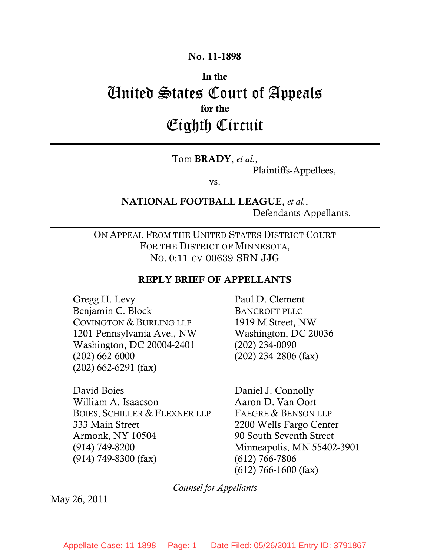## **No. 11-1898**

# **In the**  United States Court of Appeals **for the**  Eighth Circuit

#### Tom **BRADY**, *et al.*,

Plaintiffs-Appellees,

vs.

# **NATIONAL FOOTBALL LEAGUE**, *et al.*, Defendants-Appellants.

ON APPEAL FROM THE UNITED STATES DISTRICT COURT FOR THE DISTRICT OF MINNESOTA, NO. 0:11-CV-00639-SRN-JJG

#### **REPLY BRIEF OF APPELLANTS**

Gregg H. Levy Benjamin C. Block COVINGTON & BURLING LLP 1201 Pennsylvania Ave., NW Washington, DC 20004-2401 (202) 662-6000 (202) 662-6291 (fax)

David Boies William A. Isaacson BOIES, SCHILLER & FLEXNER LLP 333 Main Street Armonk, NY 10504 (914) 749-8200 (914) 749-8300 (fax)

Paul D. Clement BANCROFT PLLC 1919 M Street, NW Washington, DC 20036 (202) 234-0090 (202) 234-2806 (fax)

Daniel J. Connolly Aaron D. Van Oort FAEGRE & BENSON LLP 2200 Wells Fargo Center 90 South Seventh Street Minneapolis, MN 55402-3901 (612) 766-7806 (612) 766-1600 (fax)

*Counsel for Appellants*

May 26, 2011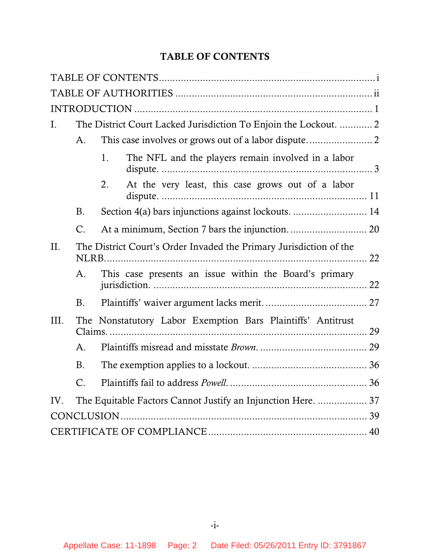# **TABLE OF CONTENTS**

<span id="page-1-0"></span>

| I.       |                | The District Court Lacked Jurisdiction To Enjoin the Lockout.  2   |  |  |  |
|----------|----------------|--------------------------------------------------------------------|--|--|--|
|          | A.             |                                                                    |  |  |  |
|          |                | The NFL and the players remain involved in a labor<br>1.           |  |  |  |
|          |                | At the very least, this case grows out of a labor<br>2.            |  |  |  |
|          | <b>B.</b>      | Section 4(a) bars injunctions against lockouts.  14                |  |  |  |
|          | C.             |                                                                    |  |  |  |
| II.      |                | The District Court's Order Invaded the Primary Jurisdiction of the |  |  |  |
|          | A.             | This case presents an issue within the Board's primary             |  |  |  |
|          | <b>B.</b>      |                                                                    |  |  |  |
| III.     |                | The Nonstatutory Labor Exemption Bars Plaintiffs' Antitrust        |  |  |  |
|          | A <sub>1</sub> |                                                                    |  |  |  |
|          | <b>B.</b>      |                                                                    |  |  |  |
|          | C.             |                                                                    |  |  |  |
| $IV_{-}$ |                | The Equitable Factors Cannot Justify an Injunction Here.  37       |  |  |  |
|          |                |                                                                    |  |  |  |
|          |                |                                                                    |  |  |  |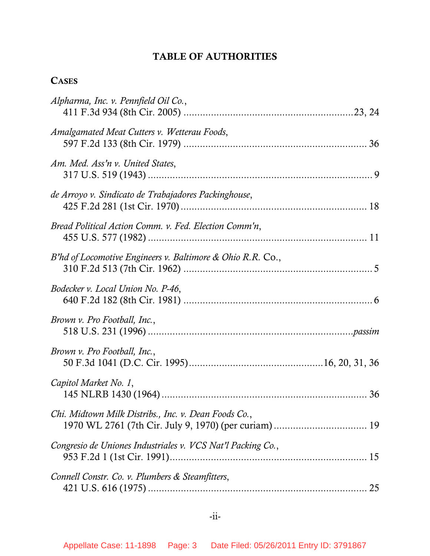# **TABLE OF AUTHORITIES**

# <span id="page-2-0"></span>**CASES**

| Alpharma, Inc. v. Pennfield Oil Co.,                        |
|-------------------------------------------------------------|
| Amalgamated Meat Cutters v. Wetterau Foods,                 |
| Am. Med. Ass'n v. United States,                            |
| de Arroyo v. Sindicato de Trabajadores Packinghouse,        |
| Bread Political Action Comm. v. Fed. Election Comm'n,       |
| B'hd of Locomotive Engineers v. Baltimore & Ohio R.R. Co.,  |
| Bodecker v. Local Union No. P-46,                           |
| Brown v. Pro Football, Inc.,                                |
| Brown v. Pro Football, Inc.,                                |
| Capitol Market No. 1,                                       |
| Chi. Midtown Milk Distribs., Inc. v. Dean Foods Co.,        |
| Congresio de Uniones Industriales v. VCS Nat'l Packing Co., |
| Connell Constr. Co. v. Plumbers & Steamfitters,<br>25       |
|                                                             |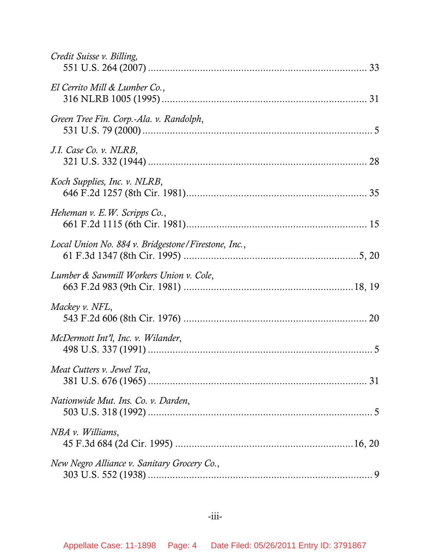| Credit Suisse v. Billing,                           |
|-----------------------------------------------------|
| El Cerrito Mill & Lumber Co.,                       |
| Green Tree Fin. Corp.-Ala. v. Randolph,             |
| J.I. Case Co. v. NLRB,                              |
| Koch Supplies, Inc. v. NLRB,                        |
| Heheman v. E.W. Scripps Co.,                        |
| Local Union No. 884 v. Bridgestone/Firestone, Inc., |
| Lumber & Sawmill Workers Union v. Cole,             |
| Mackey v. NFL,                                      |
| McDermott Int'l, Inc. v. Wilander,                  |
| Meat Cutters v. Jewel Tea,                          |
| Nationwide Mut. Ins. Co. v. Darden,                 |
| NBA v. Williams,                                    |
| New Negro Alliance v. Sanitary Grocery Co.,         |

#### -iii-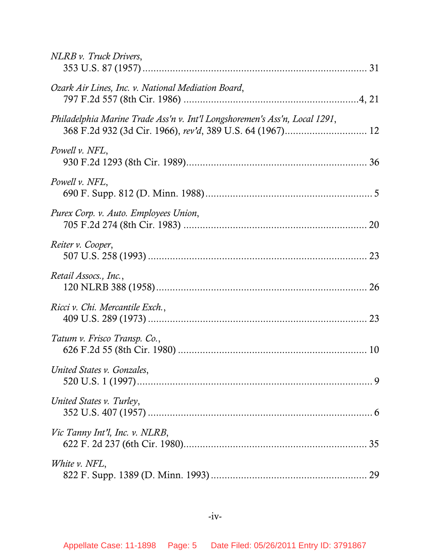| NLRB v. Truck Drivers,                                                     |
|----------------------------------------------------------------------------|
| Ozark Air Lines, Inc. v. National Mediation Board,                         |
| Philadelphia Marine Trade Ass'n v. Int'l Longshoremen's Ass'n, Local 1291, |
| Powell v. NFL,                                                             |
| Powell v. NFL,                                                             |
| Purex Corp. v. Auto. Employees Union,                                      |
| Reiter v. Cooper,                                                          |
| Retail Assocs., Inc.,                                                      |
| Ricci v. Chi. Mercantile Exch.,                                            |
| Tatum v. Frisco Transp. Co.,                                               |
| United States v. Gonzales,                                                 |
| United States v. Turley,                                                   |
| Vic Tanny Int'l, Inc. v. NLRB,                                             |
| White v. NFL,                                                              |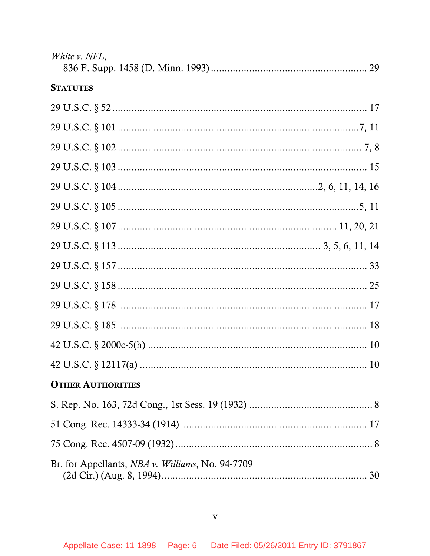| White v. NFL,                                    |
|--------------------------------------------------|
| <b>STATUTES</b>                                  |
|                                                  |
|                                                  |
|                                                  |
|                                                  |
|                                                  |
|                                                  |
|                                                  |
|                                                  |
|                                                  |
|                                                  |
|                                                  |
|                                                  |
|                                                  |
|                                                  |
| <b>OTHER AUTHORITIES</b>                         |
|                                                  |
|                                                  |
|                                                  |
| Br. for Appellants, NBA v. Williams, No. 94-7709 |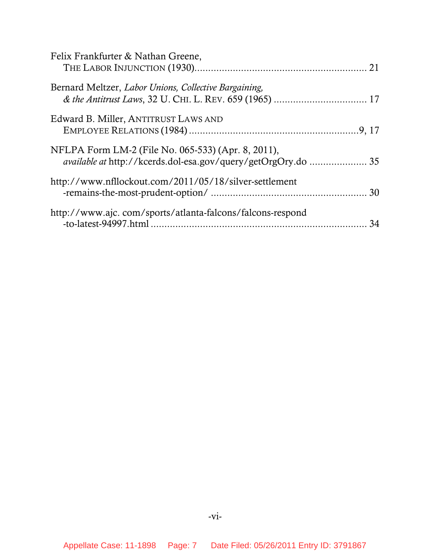| Felix Frankfurter & Nathan Greene,                                                                                  |    |
|---------------------------------------------------------------------------------------------------------------------|----|
| Bernard Meltzer, Labor Unions, Collective Bargaining,                                                               |    |
| Edward B. Miller, ANTITRUST LAWS AND                                                                                |    |
| NFLPA Form LM-2 (File No. 065-533) (Apr. 8, 2011),<br>available at http://kcerds.dol-esa.gov/query/getOrgOry.do  35 |    |
| http://www.nfllockout.com/2011/05/18/silver-settlement                                                              |    |
| http://www.ajc.com/sports/atlanta-falcons/falcons-respond                                                           | 34 |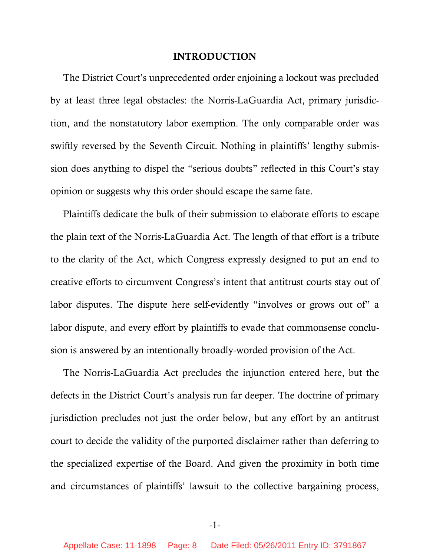#### **INTRODUCTION**

<span id="page-7-0"></span>The District Court's unprecedented order enjoining a lockout was precluded by at least three legal obstacles: the Norris-LaGuardia Act, primary jurisdiction, and the nonstatutory labor exemption. The only comparable order was swiftly reversed by the Seventh Circuit. Nothing in plaintiffs' lengthy submission does anything to dispel the "serious doubts" reflected in this Court's stay opinion or suggests why this order should escape the same fate.

Plaintiffs dedicate the bulk of their submission to elaborate efforts to escape the plain text of the Norris-LaGuardia Act. The length of that effort is a tribute to the clarity of the Act, which Congress expressly designed to put an end to creative efforts to circumvent Congress's intent that antitrust courts stay out of labor disputes. The dispute here self-evidently "involves or grows out of" a labor dispute, and every effort by plaintiffs to evade that commonsense conclusion is answered by an intentionally broadly-worded provision of the Act.

The Norris-LaGuardia Act precludes the injunction entered here, but the defects in the District Court's analysis run far deeper. The doctrine of primary jurisdiction precludes not just the order below, but any effort by an antitrust court to decide the validity of the purported disclaimer rather than deferring to the specialized expertise of the Board. And given the proximity in both time and circumstances of plaintiffs' lawsuit to the collective bargaining process,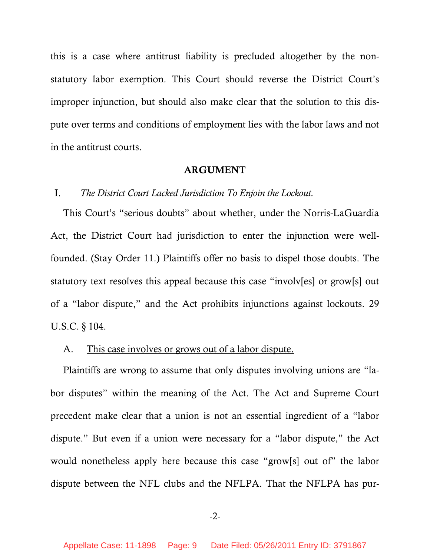<span id="page-8-0"></span>this is a case where antitrust liability is precluded altogether by the nonstatutory labor exemption. This Court should reverse the District Court's improper injunction, but should also make clear that the solution to this dispute over terms and conditions of employment lies with the labor laws and not in the antitrust courts.

#### **ARGUMENT**

## I. *The District Court Lacked Jurisdiction To Enjoin the Lockout.*

This Court's "serious doubts" about whether, under the Norris-LaGuardia Act, the District Court had jurisdiction to enter the injunction were wellfounded. (Stay Order 11.) Plaintiffs offer no basis to dispel those doubts. The statutory text resolves this appeal because this case "involv[es] or grow[s] out of a "labor dispute," and the Act prohibits injunctions against lockouts. 29 U.S.C. § 104.

# A. This case involves or grows out of a labor dispute.

Plaintiffs are wrong to assume that only disputes involving unions are "labor disputes" within the meaning of the Act. The Act and Supreme Court precedent make clear that a union is not an essential ingredient of a "labor dispute." But even if a union were necessary for a "labor dispute," the Act would nonetheless apply here because this case "grow[s] out of" the labor dispute between the NFL clubs and the NFLPA. That the NFLPA has pur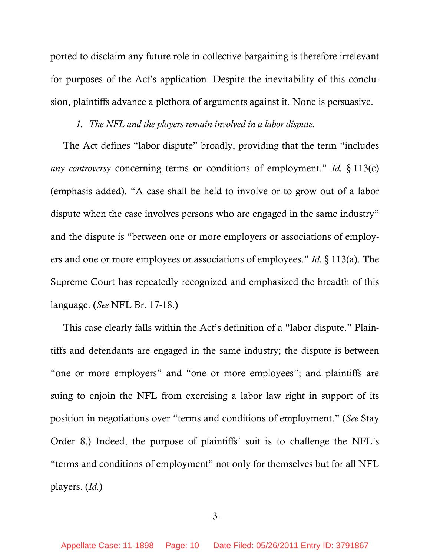<span id="page-9-0"></span>ported to disclaim any future role in collective bargaining is therefore irrelevant for purposes of the Act's application. Despite the inevitability of this conclusion, plaintiffs advance a plethora of arguments against it. None is persuasive.

# *1. The NFL and the players remain involved in a labor dispute.*

The Act defines "labor dispute" broadly, providing that the term "includes *any controversy* concerning terms or conditions of employment." *Id.* § 113(c) (emphasis added). "A case shall be held to involve or to grow out of a labor dispute when the case involves persons who are engaged in the same industry" and the dispute is "between one or more employers or associations of employers and one or more employees or associations of employees." *Id.* § 113(a). The Supreme Court has repeatedly recognized and emphasized the breadth of this language. (*See* NFL Br. 17-18.)

This case clearly falls within the Act's definition of a "labor dispute." Plaintiffs and defendants are engaged in the same industry; the dispute is between "one or more employers" and "one or more employees"; and plaintiffs are suing to enjoin the NFL from exercising a labor law right in support of its position in negotiations over "terms and conditions of employment." (*See* Stay Order 8.) Indeed, the purpose of plaintiffs' suit is to challenge the NFL's "terms and conditions of employment" not only for themselves but for all NFL players. (*Id.*)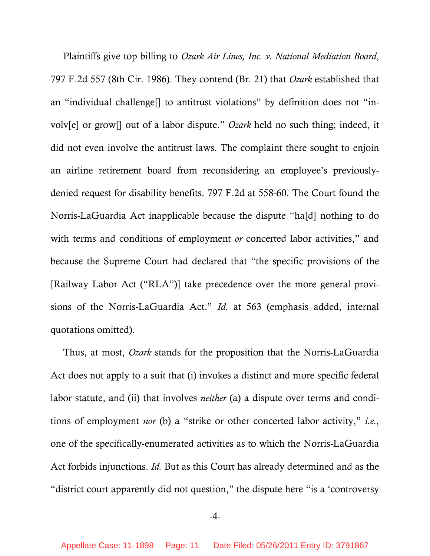Plaintiffs give top billing to *Ozark Air Lines, Inc. v. National Mediation Board*, 797 F.2d 557 (8th Cir. 1986). They contend (Br. 21) that *Ozark* established that an "individual challenge[] to antitrust violations" by definition does not "involv[e] or grow[] out of a labor dispute." *Ozark* held no such thing; indeed, it did not even involve the antitrust laws. The complaint there sought to enjoin an airline retirement board from reconsidering an employee's previouslydenied request for disability benefits. 797 F.2d at 558-60. The Court found the Norris-LaGuardia Act inapplicable because the dispute "ha[d] nothing to do with terms and conditions of employment *or* concerted labor activities," and because the Supreme Court had declared that "the specific provisions of the [Railway Labor Act ("RLA")] take precedence over the more general provisions of the Norris-LaGuardia Act." *Id.* at 563 (emphasis added, internal quotations omitted).

Thus, at most, *Ozark* stands for the proposition that the Norris-LaGuardia Act does not apply to a suit that (i) invokes a distinct and more specific federal labor statute, and (ii) that involves *neither* (a) a dispute over terms and conditions of employment *nor* (b) a "strike or other concerted labor activity," *i.e.*, one of the specifically-enumerated activities as to which the Norris-LaGuardia Act forbids injunctions. *Id.* But as this Court has already determined and as the "district court apparently did not question," the dispute here "is a 'controversy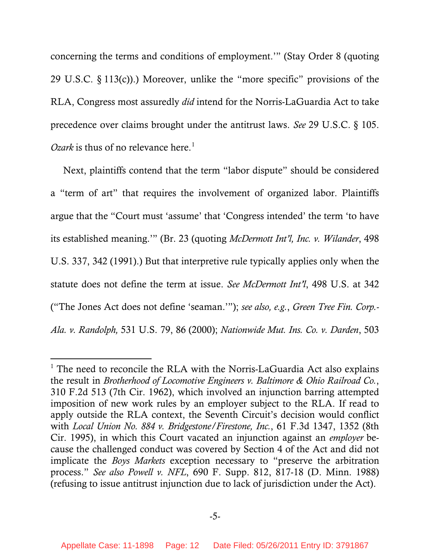concerning the terms and conditions of employment.'" (Stay Order 8 (quoting 29 U.S.C.  $\S 113(c)$ ).) Moreover, unlike the "more specific" provisions of the RLA, Congress most assuredly *did* intend for the Norris-LaGuardia Act to take precedence over claims brought under the antitrust laws. *See* 29 U.S.C. § 105. *Ozark* is thus of no relevance here.<sup>[1](#page-11-0)</sup>

Next, plaintiffs contend that the term "labor dispute" should be considered a "term of art" that requires the involvement of organized labor. Plaintiffs argue that the "Court must 'assume' that 'Congress intended' the term 'to have its established meaning.'" (Br. 23 (quoting *McDermott Int'l, Inc. v. Wilander*, 498 U.S. 337, 342 (1991).) But that interpretive rule typically applies only when the statute does not define the term at issue. *See McDermott Int'l*, 498 U.S. at 342 ("The Jones Act does not define 'seaman.'"); *see also, e.g.*, *Green Tree Fin. Corp.- Ala. v. Randolph,* 531 U.S. 79, 86 (2000); *Nationwide Mut. Ins. Co. v. Darden*, 503

 $\overline{a}$ 

<span id="page-11-0"></span><sup>&</sup>lt;sup>1</sup> The need to reconcile the RLA with the Norris-LaGuardia Act also explains the result in *Brotherhood of Locomotive Engineers v. Baltimore & Ohio Railroad Co.*, 310 F.2d 513 (7th Cir. 1962), which involved an injunction barring attempted imposition of new work rules by an employer subject to the RLA. If read to apply outside the RLA context, the Seventh Circuit's decision would conflict with *Local Union No. 884 v. Bridgestone/Firestone, Inc.*, 61 F.3d 1347, 1352 (8th Cir. 1995), in which this Court vacated an injunction against an *employer* because the challenged conduct was covered by Section 4 of the Act and did not implicate the *Boys Markets* exception necessary to "preserve the arbitration process." *See also Powell v. NFL*, 690 F. Supp. 812, 817-18 (D. Minn. 1988) (refusing to issue antitrust injunction due to lack of jurisdiction under the Act).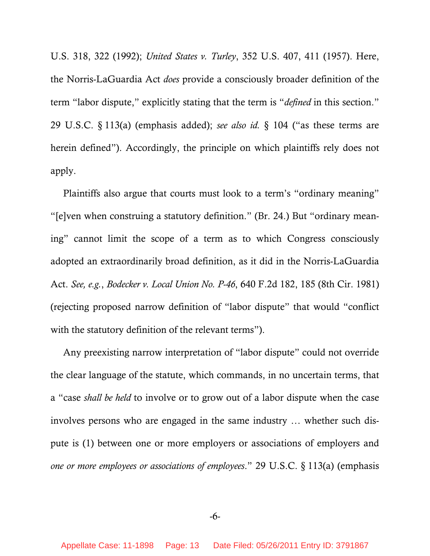U.S. 318, 322 (1992); *United States v. Turley*, 352 U.S. 407, 411 (1957). Here, the Norris-LaGuardia Act *does* provide a consciously broader definition of the term "labor dispute," explicitly stating that the term is "*defined* in this section." 29 U.S.C. § 113(a) (emphasis added); *see also id.* § 104 ("as these terms are herein defined"). Accordingly, the principle on which plaintiffs rely does not apply.

Plaintiffs also argue that courts must look to a term's "ordinary meaning" "[e]ven when construing a statutory definition." (Br. 24.) But "ordinary meaning" cannot limit the scope of a term as to which Congress consciously adopted an extraordinarily broad definition, as it did in the Norris-LaGuardia Act. *See, e.g.*, *Bodecker v. Local Union No. P-46*, 640 F.2d 182, 185 (8th Cir. 1981) (rejecting proposed narrow definition of "labor dispute" that would "conflict with the statutory definition of the relevant terms").

Any preexisting narrow interpretation of "labor dispute" could not override the clear language of the statute, which commands, in no uncertain terms, that a "case *shall be held* to involve or to grow out of a labor dispute when the case involves persons who are engaged in the same industry … whether such dispute is (1) between one or more employers or associations of employers and *one or more employees or associations of employees*." 29 U.S.C. § 113(a) (emphasis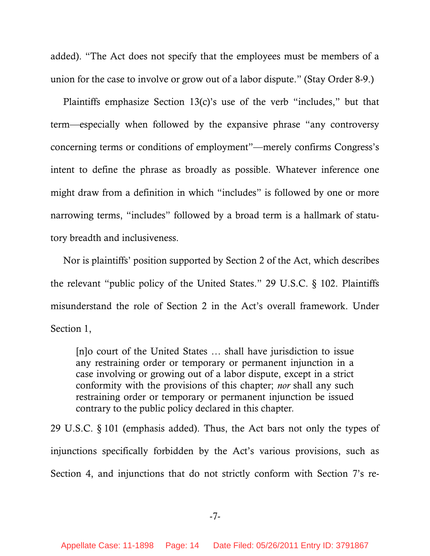added). "The Act does not specify that the employees must be members of a union for the case to involve or grow out of a labor dispute." (Stay Order 8-9.)

Plaintiffs emphasize Section 13(c)'s use of the verb "includes," but that term—especially when followed by the expansive phrase "any controversy concerning terms or conditions of employment"—merely confirms Congress's intent to define the phrase as broadly as possible. Whatever inference one might draw from a definition in which "includes" is followed by one or more narrowing terms, "includes" followed by a broad term is a hallmark of statutory breadth and inclusiveness.

Nor is plaintiffs' position supported by Section 2 of the Act, which describes the relevant "public policy of the United States." 29 U.S.C. § 102. Plaintiffs misunderstand the role of Section 2 in the Act's overall framework. Under Section 1,

[n]o court of the United States … shall have jurisdiction to issue any restraining order or temporary or permanent injunction in a case involving or growing out of a labor dispute, except in a strict conformity with the provisions of this chapter; *nor* shall any such restraining order or temporary or permanent injunction be issued contrary to the public policy declared in this chapter*.*

29 U.S.C. § 101 (emphasis added). Thus, the Act bars not only the types of injunctions specifically forbidden by the Act's various provisions, such as Section 4, and injunctions that do not strictly conform with Section 7's re-

-7-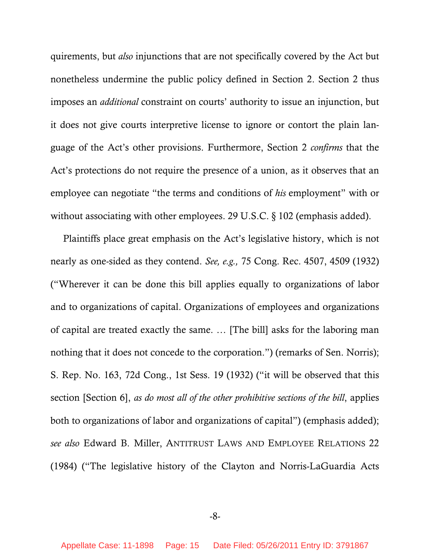quirements, but *also* injunctions that are not specifically covered by the Act but nonetheless undermine the public policy defined in Section 2. Section 2 thus imposes an *additional* constraint on courts' authority to issue an injunction, but it does not give courts interpretive license to ignore or contort the plain language of the Act's other provisions. Furthermore, Section 2 *confirms* that the Act's protections do not require the presence of a union, as it observes that an employee can negotiate "the terms and conditions of *his* employment" with or without associating with other employees. 29 U.S.C. § 102 (emphasis added).

Plaintiffs place great emphasis on the Act's legislative history, which is not nearly as one-sided as they contend. *See, e.g.,* 75 Cong. Rec. 4507, 4509 (1932) ("Wherever it can be done this bill applies equally to organizations of labor and to organizations of capital. Organizations of employees and organizations of capital are treated exactly the same. … [The bill] asks for the laboring man nothing that it does not concede to the corporation.") (remarks of Sen. Norris); S. Rep. No. 163, 72d Cong., 1st Sess. 19 (1932) ("it will be observed that this section [Section 6], *as do most all of the other prohibitive sections of the bill*, applies both to organizations of labor and organizations of capital") (emphasis added); *see also* Edward B. Miller, ANTITRUST LAWS AND EMPLOYEE RELATIONS 22 (1984) ("The legislative history of the Clayton and Norris-LaGuardia Acts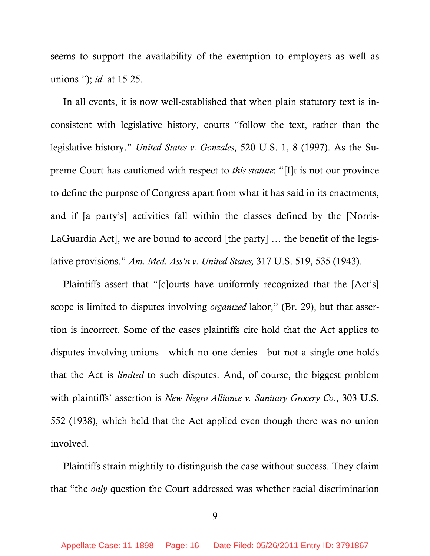seems to support the availability of the exemption to employers as well as unions."); *id.* at 15-25.

In all events, it is now well-established that when plain statutory text is inconsistent with legislative history, courts "follow the text, rather than the legislative history." *United States v. Gonzales*, 520 U.S. 1, 8 (1997). As the Supreme Court has cautioned with respect to *this statute*: "[I]t is not our province to define the purpose of Congress apart from what it has said in its enactments, and if [a party's] activities fall within the classes defined by the [Norris-LaGuardia Act], we are bound to accord [the party] … the benefit of the legislative provisions." *Am. Med. Ass'n v. United States,* 317 U.S. 519, 535 (1943).

Plaintiffs assert that "[c]ourts have uniformly recognized that the [Act's] scope is limited to disputes involving *organized* labor," (Br. 29), but that assertion is incorrect. Some of the cases plaintiffs cite hold that the Act applies to disputes involving unions—which no one denies—but not a single one holds that the Act is *limited* to such disputes. And, of course, the biggest problem with plaintiffs' assertion is *New Negro Alliance v. Sanitary Grocery Co.*, 303 U.S. 552 (1938), which held that the Act applied even though there was no union involved.

Plaintiffs strain mightily to distinguish the case without success. They claim that "the *only* question the Court addressed was whether racial discrimination

-9-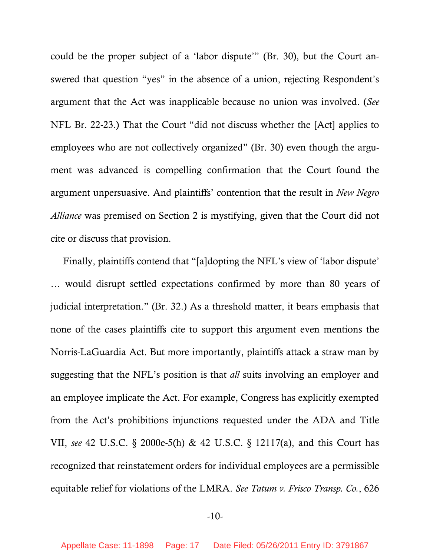could be the proper subject of a 'labor dispute'" (Br. 30), but the Court answered that question "yes" in the absence of a union, rejecting Respondent's argument that the Act was inapplicable because no union was involved. (*See*  NFL Br. 22-23.) That the Court "did not discuss whether the [Act] applies to employees who are not collectively organized" (Br. 30) even though the argument was advanced is compelling confirmation that the Court found the argument unpersuasive. And plaintiffs' contention that the result in *New Negro Alliance* was premised on Section 2 is mystifying, given that the Court did not cite or discuss that provision.

Finally, plaintiffs contend that "[a]dopting the NFL's view of 'labor dispute' … would disrupt settled expectations confirmed by more than 80 years of judicial interpretation." (Br. 32.) As a threshold matter, it bears emphasis that none of the cases plaintiffs cite to support this argument even mentions the Norris-LaGuardia Act. But more importantly, plaintiffs attack a straw man by suggesting that the NFL's position is that *all* suits involving an employer and an employee implicate the Act. For example, Congress has explicitly exempted from the Act's prohibitions injunctions requested under the ADA and Title VII, *see* 42 U.S.C. § 2000e-5(h) & 42 U.S.C. § 12117(a), and this Court has recognized that reinstatement orders for individual employees are a permissible equitable relief for violations of the LMRA. *See Tatum v. Frisco Transp. Co.*, 626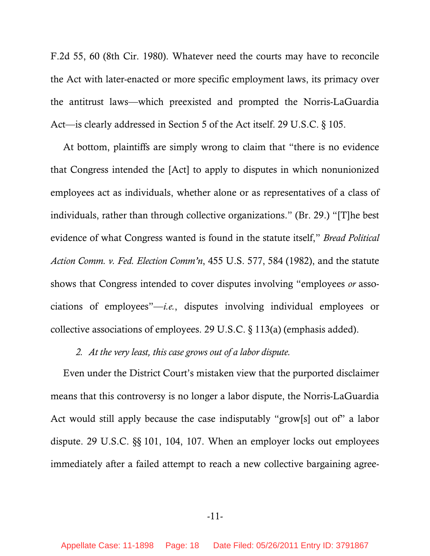<span id="page-17-0"></span>F.2d 55, 60 (8th Cir. 1980). Whatever need the courts may have to reconcile the Act with later-enacted or more specific employment laws, its primacy over the antitrust laws—which preexisted and prompted the Norris-LaGuardia Act—is clearly addressed in Section 5 of the Act itself. 29 U.S.C. § 105.

At bottom, plaintiffs are simply wrong to claim that "there is no evidence that Congress intended the [Act] to apply to disputes in which nonunionized employees act as individuals, whether alone or as representatives of a class of individuals, rather than through collective organizations." (Br. 29.) "[T]he best evidence of what Congress wanted is found in the statute itself," *Bread Political Action Comm. v. Fed. Election Comm'n*, 455 U.S. 577, 584 (1982), and the statute shows that Congress intended to cover disputes involving "employees *or* associations of employees"—*i.e.*, disputes involving individual employees or collective associations of employees. 29 U.S.C. § 113(a) (emphasis added).

# *2. At the very least, this case grows out of a labor dispute.*

Even under the District Court's mistaken view that the purported disclaimer means that this controversy is no longer a labor dispute, the Norris-LaGuardia Act would still apply because the case indisputably "grow[s] out of" a labor dispute. 29 U.S.C. §§ 101, 104, 107. When an employer locks out employees immediately after a failed attempt to reach a new collective bargaining agree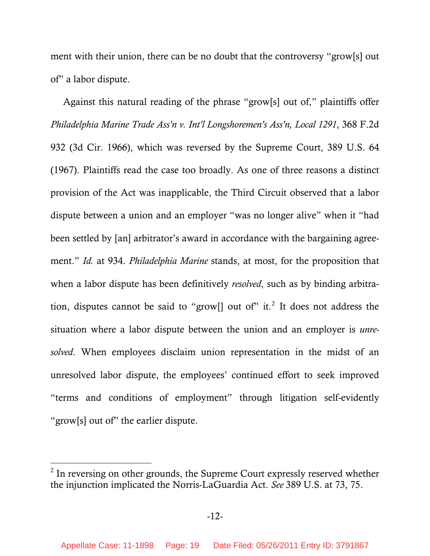ment with their union, there can be no doubt that the controversy "grow[s] out of" a labor dispute.

Against this natural reading of the phrase "grow[s] out of," plaintiffs offer *Philadelphia Marine Trade Ass'n v. Int'l Longshoremen's Ass'n, Local 1291*, 368 F.2d 932 (3d Cir. 1966), which was reversed by the Supreme Court, 389 U.S. 64 (1967). Plaintiffs read the case too broadly. As one of three reasons a distinct provision of the Act was inapplicable, the Third Circuit observed that a labor dispute between a union and an employer "was no longer alive" when it "had been settled by [an] arbitrator's award in accordance with the bargaining agreement." *Id.* at 934. *Philadelphia Marine* stands, at most, for the proposition that when a labor dispute has been definitively *resolved*, such as by binding arbitra-tion, disputes cannot be said to "grow[] out of" it.<sup>[2](#page-18-0)</sup> It does not address the situation where a labor dispute between the union and an employer is *unresolved*. When employees disclaim union representation in the midst of an unresolved labor dispute, the employees' continued effort to seek improved "terms and conditions of employment" through litigation self-evidently "grow[s] out of" the earlier dispute.

 $\overline{a}$ 

<span id="page-18-0"></span> $2$  In reversing on other grounds, the Supreme Court expressly reserved whether the injunction implicated the Norris-LaGuardia Act. *See* 389 U.S. at 73, 75.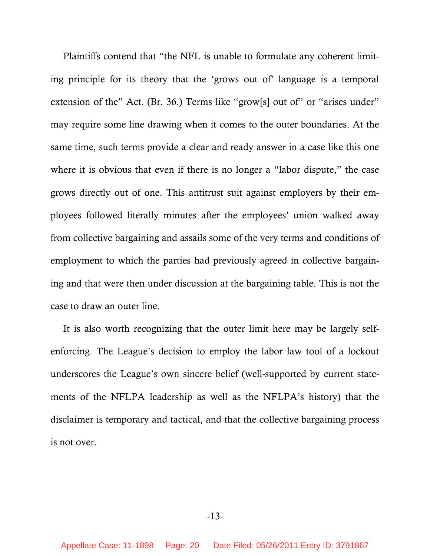Plaintiffs contend that "the NFL is unable to formulate any coherent limiting principle for its theory that the 'grows out of' language is a temporal extension of the" Act. (Br. 36.) Terms like "grow[s] out of" or "arises under" may require some line drawing when it comes to the outer boundaries. At the same time, such terms provide a clear and ready answer in a case like this one where it is obvious that even if there is no longer a "labor dispute," the case grows directly out of one. This antitrust suit against employers by their employees followed literally minutes after the employees' union walked away from collective bargaining and assails some of the very terms and conditions of employment to which the parties had previously agreed in collective bargaining and that were then under discussion at the bargaining table. This is not the case to draw an outer line.

It is also worth recognizing that the outer limit here may be largely selfenforcing. The League's decision to employ the labor law tool of a lockout underscores the League's own sincere belief (well-supported by current statements of the NFLPA leadership as well as the NFLPA's history) that the disclaimer is temporary and tactical, and that the collective bargaining process is not over.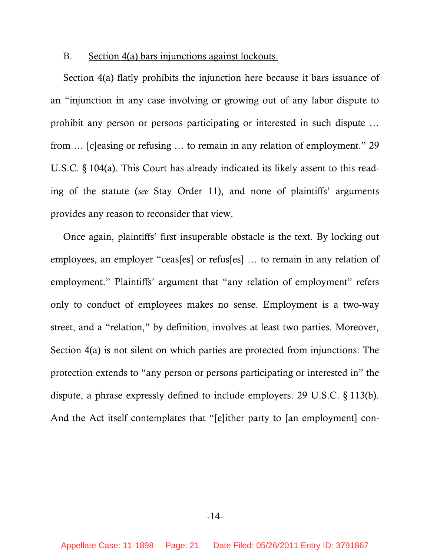#### <span id="page-20-0"></span>B. Section 4(a) bars injunctions against lockouts.

Section 4(a) flatly prohibits the injunction here because it bars issuance of an "injunction in any case involving or growing out of any labor dispute to prohibit any person or persons participating or interested in such dispute … from … [c]easing or refusing … to remain in any relation of employment." 29 U.S.C. § 104(a). This Court has already indicated its likely assent to this reading of the statute (*see* Stay Order 11), and none of plaintiffs' arguments provides any reason to reconsider that view.

Once again, plaintiffs' first insuperable obstacle is the text. By locking out employees, an employer "ceas[es] or refus[es] … to remain in any relation of employment." Plaintiffs' argument that "any relation of employment" refers only to conduct of employees makes no sense. Employment is a two-way street, and a "relation," by definition, involves at least two parties. Moreover, Section 4(a) is not silent on which parties are protected from injunctions: The protection extends to "any person or persons participating or interested in" the dispute, a phrase expressly defined to include employers. 29 U.S.C. § 113(b). And the Act itself contemplates that "[e]ither party to [an employment] con-

-14-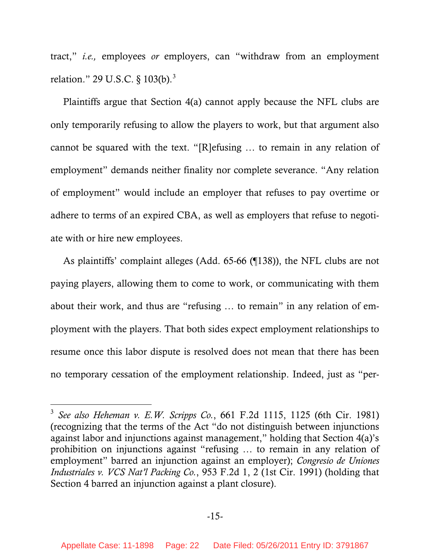tract," *i.e.,* employees *or* employers, can "withdraw from an employment relation." 29 U.S.C. § 10[3](#page-21-0)(b).<sup>3</sup>

Plaintiffs argue that Section 4(a) cannot apply because the NFL clubs are only temporarily refusing to allow the players to work, but that argument also cannot be squared with the text. "[R]efusing … to remain in any relation of employment" demands neither finality nor complete severance. "Any relation of employment" would include an employer that refuses to pay overtime or adhere to terms of an expired CBA, as well as employers that refuse to negotiate with or hire new employees.

As plaintiffs' complaint alleges (Add. 65-66 (¶138)), the NFL clubs are not paying players, allowing them to come to work, or communicating with them about their work, and thus are "refusing … to remain" in any relation of employment with the players. That both sides expect employment relationships to resume once this labor dispute is resolved does not mean that there has been no temporary cessation of the employment relationship. Indeed, just as "per-

 $\overline{a}$ 

<span id="page-21-0"></span><sup>3</sup> *See also Heheman v. E.W. Scripps Co.*, 661 F.2d 1115, 1125 (6th Cir. 1981) (recognizing that the terms of the Act "do not distinguish between injunctions against labor and injunctions against management," holding that Section 4(a)'s prohibition on injunctions against "refusing … to remain in any relation of employment" barred an injunction against an employer); *Congresio de Uniones Industriales v. VCS Nat'l Packing Co.*, 953 F.2d 1, 2 (1st Cir. 1991) (holding that Section 4 barred an injunction against a plant closure).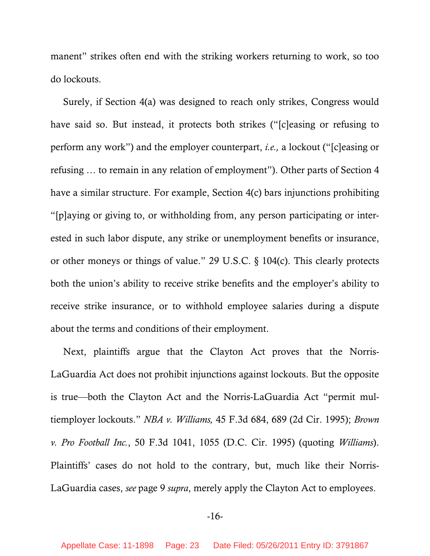manent" strikes often end with the striking workers returning to work, so too do lockouts.

Surely, if Section 4(a) was designed to reach only strikes, Congress would have said so. But instead, it protects both strikes ("[c]easing or refusing to perform any work") and the employer counterpart, *i.e.,* a lockout ("[c]easing or refusing … to remain in any relation of employment"). Other parts of Section 4 have a similar structure. For example, Section 4(c) bars injunctions prohibiting "[p]aying or giving to, or withholding from, any person participating or interested in such labor dispute, any strike or unemployment benefits or insurance, or other moneys or things of value." 29 U.S.C. § 104(c). This clearly protects both the union's ability to receive strike benefits and the employer's ability to receive strike insurance, or to withhold employee salaries during a dispute about the terms and conditions of their employment.

Next, plaintiffs argue that the Clayton Act proves that the Norris-LaGuardia Act does not prohibit injunctions against lockouts. But the opposite is true—both the Clayton Act and the Norris-LaGuardia Act "permit multiemployer lockouts." *NBA v. Williams,* 45 F.3d 684, 689 (2d Cir. 1995); *Brown v. Pro Football Inc.*, 50 F.3d 1041, 1055 (D.C. Cir. 1995) (quoting *Williams*). Plaintiffs' cases do not hold to the contrary, but, much like their Norris-LaGuardia cases, *see* page 9 *supra*, merely apply the Clayton Act to employees.

-16-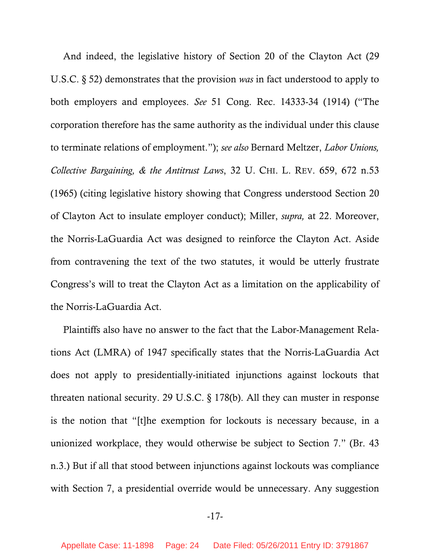And indeed, the legislative history of Section 20 of the Clayton Act (29 U.S.C. § 52) demonstrates that the provision *was* in fact understood to apply to both employers and employees. *See* 51 Cong. Rec. 14333-34 (1914) ("The corporation therefore has the same authority as the individual under this clause to terminate relations of employment."); *see also* Bernard Meltzer, *Labor Unions, Collective Bargaining, & the Antitrust Laws*, 32 U. CHI. L. REV. 659, 672 n.53 (1965) (citing legislative history showing that Congress understood Section 20 of Clayton Act to insulate employer conduct); Miller, *supra,* at 22. Moreover, the Norris-LaGuardia Act was designed to reinforce the Clayton Act. Aside from contravening the text of the two statutes, it would be utterly frustrate Congress's will to treat the Clayton Act as a limitation on the applicability of the Norris-LaGuardia Act.

Plaintiffs also have no answer to the fact that the Labor-Management Relations Act (LMRA) of 1947 specifically states that the Norris-LaGuardia Act does not apply to presidentially-initiated injunctions against lockouts that threaten national security. 29 U.S.C. § 178(b). All they can muster in response is the notion that "[t]he exemption for lockouts is necessary because, in a unionized workplace, they would otherwise be subject to Section 7." (Br. 43 n.3.) But if all that stood between injunctions against lockouts was compliance with Section 7, a presidential override would be unnecessary. Any suggestion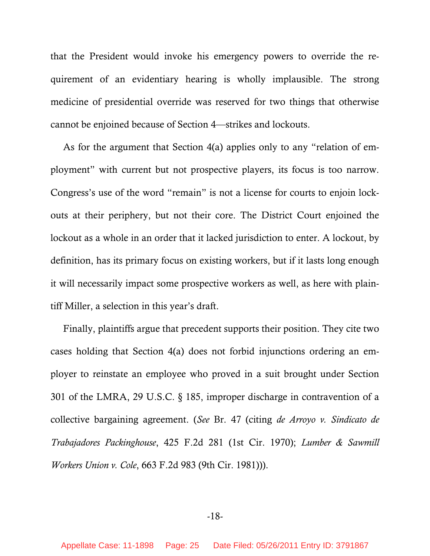that the President would invoke his emergency powers to override the requirement of an evidentiary hearing is wholly implausible. The strong medicine of presidential override was reserved for two things that otherwise cannot be enjoined because of Section 4—strikes and lockouts.

As for the argument that Section 4(a) applies only to any "relation of employment" with current but not prospective players, its focus is too narrow. Congress's use of the word "remain" is not a license for courts to enjoin lockouts at their periphery, but not their core. The District Court enjoined the lockout as a whole in an order that it lacked jurisdiction to enter. A lockout, by definition, has its primary focus on existing workers, but if it lasts long enough it will necessarily impact some prospective workers as well, as here with plaintiff Miller, a selection in this year's draft.

Finally, plaintiffs argue that precedent supports their position. They cite two cases holding that Section 4(a) does not forbid injunctions ordering an employer to reinstate an employee who proved in a suit brought under Section 301 of the LMRA, 29 U.S.C. § 185, improper discharge in contravention of a collective bargaining agreement. (*See* Br. 47 (citing *de Arroyo v. Sindicato de Trabajadores Packinghouse*, 425 F.2d 281 (1st Cir. 1970); *Lumber & Sawmill Workers Union v. Cole*, 663 F.2d 983 (9th Cir. 1981))).

-18-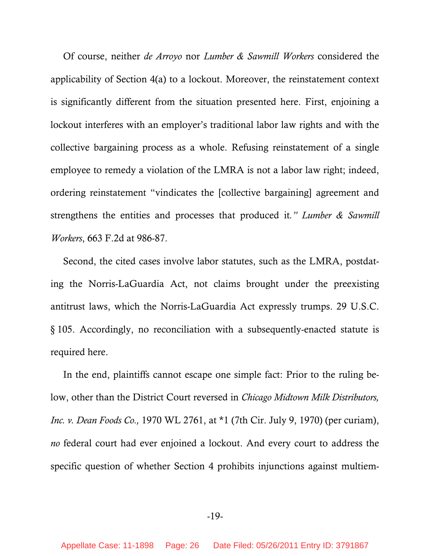Of course, neither *de Arroyo* nor *Lumber & Sawmill Workers* considered the applicability of Section 4(a) to a lockout. Moreover, the reinstatement context is significantly different from the situation presented here. First, enjoining a lockout interferes with an employer's traditional labor law rights and with the collective bargaining process as a whole. Refusing reinstatement of a single employee to remedy a violation of the LMRA is not a labor law right; indeed, ordering reinstatement "vindicates the [collective bargaining] agreement and strengthens the entities and processes that produced it*." Lumber & Sawmill Workers*, 663 F.2d at 986-87.

Second, the cited cases involve labor statutes, such as the LMRA, postdating the Norris-LaGuardia Act, not claims brought under the preexisting antitrust laws, which the Norris-LaGuardia Act expressly trumps. 29 U.S.C. § 105. Accordingly, no reconciliation with a subsequently-enacted statute is required here.

In the end, plaintiffs cannot escape one simple fact: Prior to the ruling below, other than the District Court reversed in *Chicago Midtown Milk Distributors, Inc. v. Dean Foods Co.,* 1970 WL 2761, at \*1 (7th Cir. July 9, 1970) (per curiam), *no* federal court had ever enjoined a lockout. And every court to address the specific question of whether Section 4 prohibits injunctions against multiem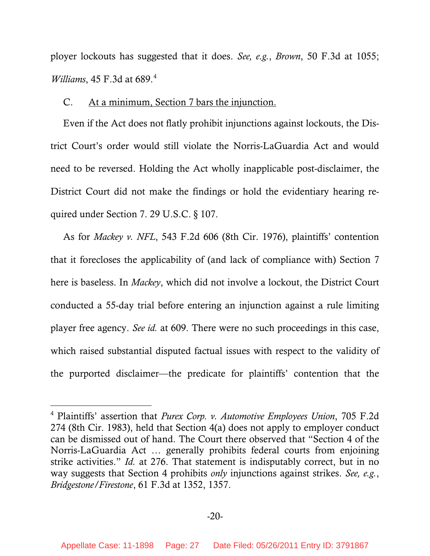<span id="page-26-0"></span>ployer lockouts has suggested that it does. *See, e.g.*, *Brown*, 50 F.3d at 1055; *Williams*, [4](#page-26-1)5 F.3d at 689.<sup>4</sup>

### C. At a minimum, Section 7 bars the injunction.

Even if the Act does not flatly prohibit injunctions against lockouts, the District Court's order would still violate the Norris-LaGuardia Act and would need to be reversed. Holding the Act wholly inapplicable post-disclaimer, the District Court did not make the findings or hold the evidentiary hearing required under Section 7. 29 U.S.C. § 107.

As for *Mackey v. NFL*, 543 F.2d 606 (8th Cir. 1976), plaintiffs' contention that it forecloses the applicability of (and lack of compliance with) Section 7 here is baseless. In *Mackey*, which did not involve a lockout, the District Court conducted a 55-day trial before entering an injunction against a rule limiting player free agency. *See id.* at 609. There were no such proceedings in this case, which raised substantial disputed factual issues with respect to the validity of the purported disclaimer—the predicate for plaintiffs' contention that the

-

<span id="page-26-1"></span><sup>4</sup> Plaintiffs' assertion that *Purex Corp. v. Automotive Employees Union*, 705 F.2d 274 (8th Cir. 1983), held that Section 4(a) does not apply to employer conduct can be dismissed out of hand. The Court there observed that "Section 4 of the Norris-LaGuardia Act … generally prohibits federal courts from enjoining strike activities." *Id.* at 276. That statement is indisputably correct, but in no way suggests that Section 4 prohibits *only* injunctions against strikes. *See, e.g.*, *Bridgestone/Firestone*, 61 F.3d at 1352, 1357.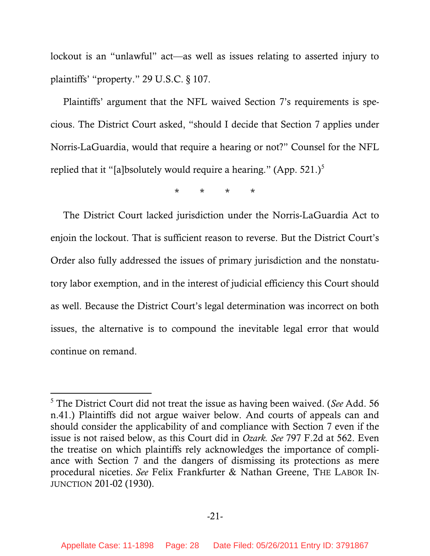lockout is an "unlawful" act—as well as issues relating to asserted injury to plaintiffs' "property." 29 U.S.C. § 107.

Plaintiffs' argument that the NFL waived Section 7's requirements is specious. The District Court asked, "should I decide that Section 7 applies under Norris-LaGuardia, would that require a hearing or not?" Counsel for the NFL replied that it "[a]bsolutely would require a hearing." (App.  $521.$  $521.$ )<sup>5</sup>

\* \* \* \*

The District Court lacked jurisdiction under the Norris-LaGuardia Act to enjoin the lockout. That is sufficient reason to reverse. But the District Court's Order also fully addressed the issues of primary jurisdiction and the nonstatutory labor exemption, and in the interest of judicial efficiency this Court should as well. Because the District Court's legal determination was incorrect on both issues, the alternative is to compound the inevitable legal error that would continue on remand.

 $\overline{a}$ 

<span id="page-27-0"></span><sup>5</sup> The District Court did not treat the issue as having been waived. (*See* Add. 56 n.41.) Plaintiffs did not argue waiver below. And courts of appeals can and should consider the applicability of and compliance with Section 7 even if the issue is not raised below, as this Court did in *Ozark. See* 797 F.2d at 562. Even the treatise on which plaintiffs rely acknowledges the importance of compliance with Section 7 and the dangers of dismissing its protections as mere procedural niceties. *See* Felix Frankfurter & Nathan Greene, THE LABOR IN-JUNCTION 201-02 (1930).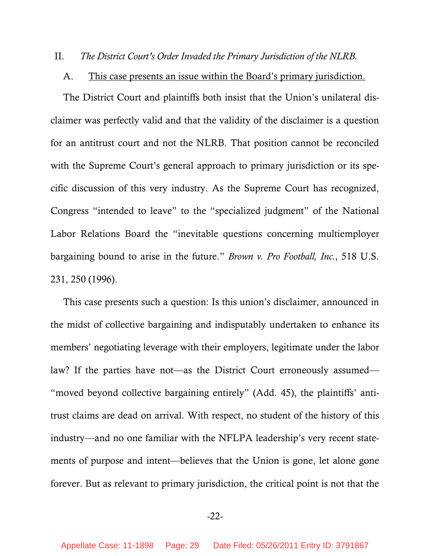#### <span id="page-28-0"></span>II. *The District Court's Order Invaded the Primary Jurisdiction of the NLRB.*

#### A. This case presents an issue within the Board's primary jurisdiction.

The District Court and plaintiffs both insist that the Union's unilateral disclaimer was perfectly valid and that the validity of the disclaimer is a question for an antitrust court and not the NLRB. That position cannot be reconciled with the Supreme Court's general approach to primary jurisdiction or its specific discussion of this very industry. As the Supreme Court has recognized, Congress "intended to leave" to the "specialized judgment" of the National Labor Relations Board the "inevitable questions concerning multiemployer bargaining bound to arise in the future." *Brown v. Pro Football, Inc.*, 518 U.S. 231, 250 (1996).

This case presents such a question: Is this union's disclaimer, announced in the midst of collective bargaining and indisputably undertaken to enhance its members' negotiating leverage with their employers, legitimate under the labor law? If the parties have not—as the District Court erroneously assumed— "moved beyond collective bargaining entirely" (Add. 45), the plaintiffs' antitrust claims are dead on arrival. With respect, no student of the history of this industry—and no one familiar with the NFLPA leadership's very recent statements of purpose and intent—believes that the Union is gone, let alone gone forever. But as relevant to primary jurisdiction, the critical point is not that the

### -22-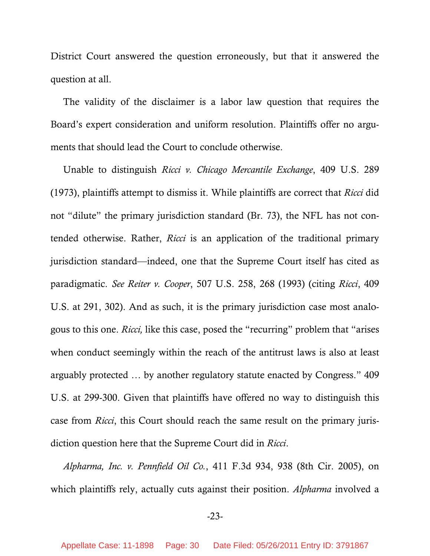District Court answered the question erroneously, but that it answered the question at all.

The validity of the disclaimer is a labor law question that requires the Board's expert consideration and uniform resolution. Plaintiffs offer no arguments that should lead the Court to conclude otherwise.

Unable to distinguish *Ricci v. Chicago Mercantile Exchange*, 409 U.S. 289 (1973), plaintiffs attempt to dismiss it. While plaintiffs are correct that *Ricci* did not "dilute" the primary jurisdiction standard (Br. 73), the NFL has not contended otherwise. Rather, *Ricci* is an application of the traditional primary jurisdiction standard—indeed, one that the Supreme Court itself has cited as paradigmatic. *See Reiter v. Cooper*, 507 U.S. 258, 268 (1993) (citing *Ricci*, 409 U.S. at 291, 302). And as such, it is the primary jurisdiction case most analogous to this one. *Ricci,* like this case, posed the "recurring" problem that "arises when conduct seemingly within the reach of the antitrust laws is also at least arguably protected … by another regulatory statute enacted by Congress." 409 U.S. at 299-300. Given that plaintiffs have offered no way to distinguish this case from *Ricci*, this Court should reach the same result on the primary jurisdiction question here that the Supreme Court did in *Ricci*.

*Alpharma, Inc. v. Pennfield Oil Co.*, 411 F.3d 934, 938 (8th Cir. 2005), on which plaintiffs rely, actually cuts against their position. *Alpharma* involved a

-23-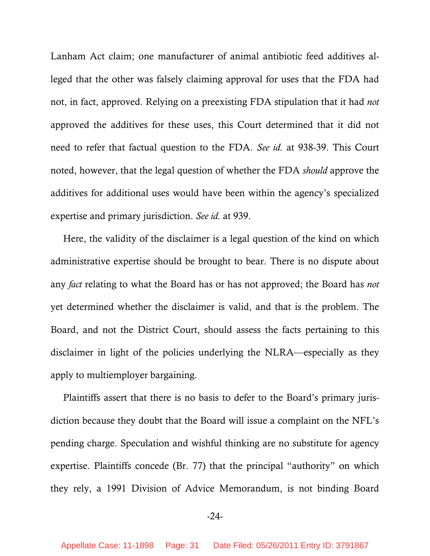Lanham Act claim; one manufacturer of animal antibiotic feed additives alleged that the other was falsely claiming approval for uses that the FDA had not, in fact, approved. Relying on a preexisting FDA stipulation that it had *not* approved the additives for these uses, this Court determined that it did not need to refer that factual question to the FDA. *See id.* at 938-39. This Court noted, however, that the legal question of whether the FDA *should* approve the additives for additional uses would have been within the agency's specialized expertise and primary jurisdiction. *See id.* at 939.

Here, the validity of the disclaimer is a legal question of the kind on which administrative expertise should be brought to bear. There is no dispute about any *fact* relating to what the Board has or has not approved; the Board has *not* yet determined whether the disclaimer is valid, and that is the problem. The Board, and not the District Court, should assess the facts pertaining to this disclaimer in light of the policies underlying the NLRA—especially as they apply to multiemployer bargaining.

Plaintiffs assert that there is no basis to defer to the Board's primary jurisdiction because they doubt that the Board will issue a complaint on the NFL's pending charge. Speculation and wishful thinking are no substitute for agency expertise. Plaintiffs concede (Br. 77) that the principal "authority" on which they rely, a 1991 Division of Advice Memorandum, is not binding Board

-24-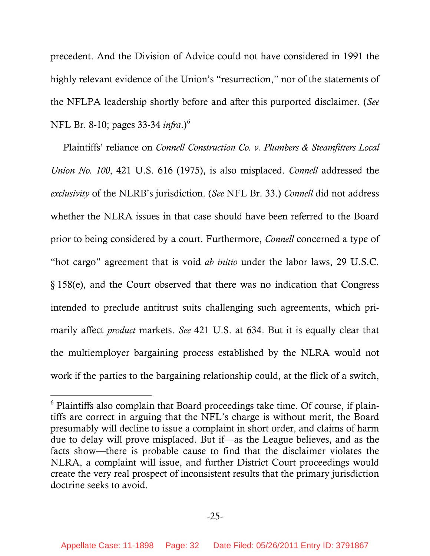precedent. And the Division of Advice could not have considered in 1991 the highly relevant evidence of the Union's "resurrection," nor of the statements of the NFLPA leadership shortly before and after this purported disclaimer. (*See*  NFL Br. 8-10; pages 33-34 *infra*.)[6](#page-31-0)

Plaintiffs' reliance on *Connell Construction Co. v. Plumbers & Steamfitters Local Union No. 100*, 421 U.S. 616 (1975), is also misplaced. *Connell* addressed the *exclusivity* of the NLRB's jurisdiction. (*See* NFL Br. 33.) *Connell* did not address whether the NLRA issues in that case should have been referred to the Board prior to being considered by a court. Furthermore, *Connell* concerned a type of "hot cargo" agreement that is void *ab initio* under the labor laws, 29 U.S.C. § 158(e), and the Court observed that there was no indication that Congress intended to preclude antitrust suits challenging such agreements, which primarily affect *product* markets. *See* 421 U.S. at 634. But it is equally clear that the multiemployer bargaining process established by the NLRA would not work if the parties to the bargaining relationship could, at the flick of a switch,

 $\overline{a}$ 

<span id="page-31-0"></span><sup>&</sup>lt;sup>6</sup> Plaintiffs also complain that Board proceedings take time. Of course, if plaintiffs are correct in arguing that the NFL's charge is without merit, the Board presumably will decline to issue a complaint in short order, and claims of harm due to delay will prove misplaced. But if—as the League believes, and as the facts show—there is probable cause to find that the disclaimer violates the NLRA, a complaint will issue, and further District Court proceedings would create the very real prospect of inconsistent results that the primary jurisdiction doctrine seeks to avoid.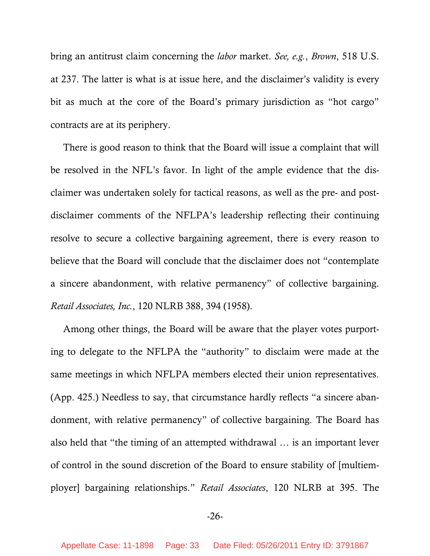bring an antitrust claim concerning the *labor* market. *See, e.g.*, *Brown*, 518 U.S. at 237. The latter is what is at issue here, and the disclaimer's validity is every bit as much at the core of the Board's primary jurisdiction as "hot cargo" contracts are at its periphery.

There is good reason to think that the Board will issue a complaint that will be resolved in the NFL's favor. In light of the ample evidence that the disclaimer was undertaken solely for tactical reasons, as well as the pre- and postdisclaimer comments of the NFLPA's leadership reflecting their continuing resolve to secure a collective bargaining agreement, there is every reason to believe that the Board will conclude that the disclaimer does not "contemplate a sincere abandonment, with relative permanency" of collective bargaining. *Retail Associates, Inc.*, 120 NLRB 388, 394 (1958).

Among other things, the Board will be aware that the player votes purporting to delegate to the NFLPA the "authority" to disclaim were made at the same meetings in which NFLPA members elected their union representatives. (App. 425.) Needless to say, that circumstance hardly reflects "a sincere abandonment, with relative permanency" of collective bargaining. The Board has also held that "the timing of an attempted withdrawal … is an important lever of control in the sound discretion of the Board to ensure stability of [multiemployer] bargaining relationships." *Retail Associates*, 120 NLRB at 395. The

-26-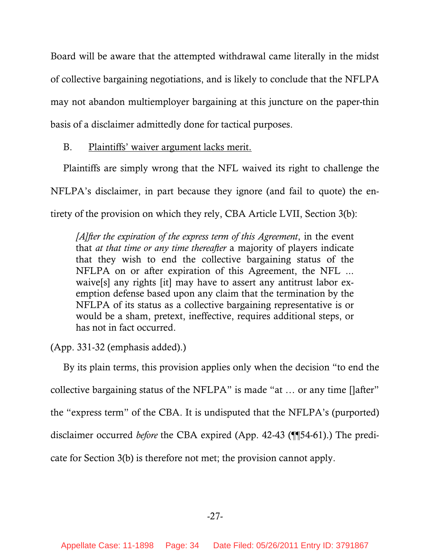<span id="page-33-0"></span>Board will be aware that the attempted withdrawal came literally in the midst of collective bargaining negotiations, and is likely to conclude that the NFLPA may not abandon multiemployer bargaining at this juncture on the paper-thin basis of a disclaimer admittedly done for tactical purposes.

B. Plaintiffs' waiver argument lacks merit.

Plaintiffs are simply wrong that the NFL waived its right to challenge the NFLPA's disclaimer, in part because they ignore (and fail to quote) the entirety of the provision on which they rely, CBA Article LVII, Section 3(b):

*[A]fter the expiration of the express term of this Agreement*, in the event that *at that time or any time thereafter* a majority of players indicate that they wish to end the collective bargaining status of the NFLPA on or after expiration of this Agreement, the NFL ... waive[s] any rights [it] may have to assert any antitrust labor exemption defense based upon any claim that the termination by the NFLPA of its status as a collective bargaining representative is or would be a sham, pretext, ineffective, requires additional steps, or has not in fact occurred.

(App. 331-32 (emphasis added).)

By its plain terms, this provision applies only when the decision "to end the collective bargaining status of the NFLPA" is made "at … or any time []after" the "express term" of the CBA. It is undisputed that the NFLPA's (purported) disclaimer occurred *before* the CBA expired (App. 42-43 (¶¶54-61).) The predicate for Section 3(b) is therefore not met; the provision cannot apply.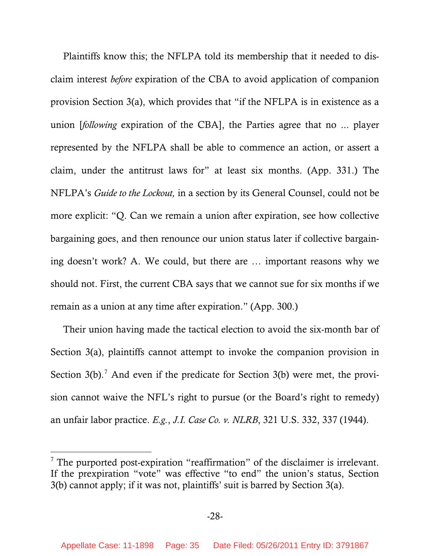Plaintiffs know this; the NFLPA told its membership that it needed to disclaim interest *before* expiration of the CBA to avoid application of companion provision Section 3(a), which provides that "if the NFLPA is in existence as a union [*following* expiration of the CBA], the Parties agree that no ... player represented by the NFLPA shall be able to commence an action, or assert a claim, under the antitrust laws for" at least six months. (App. 331.) The NFLPA's *Guide to the Lockout,* in a section by its General Counsel, could not be more explicit: "Q. Can we remain a union after expiration, see how collective bargaining goes, and then renounce our union status later if collective bargaining doesn't work? A. We could, but there are … important reasons why we should not. First, the current CBA says that we cannot sue for six months if we remain as a union at any time after expiration." (App. 300.)

Their union having made the tactical election to avoid the six-month bar of Section 3(a), plaintiffs cannot attempt to invoke the companion provision in Section  $3(b)$ .<sup>[7](#page-34-0)</sup> And even if the predicate for Section  $3(b)$  were met, the provision cannot waive the NFL's right to pursue (or the Board's right to remedy) an unfair labor practice. *E.g.*, *J.I. Case Co. v. NLRB*, 321 U.S. 332, 337 (1944).

l

<span id="page-34-0"></span> $7$  The purported post-expiration "reaffirmation" of the disclaimer is irrelevant. If the prexpiration "vote" was effective "to end" the union's status, Section 3(b) cannot apply; if it was not, plaintiffs' suit is barred by Section 3(a).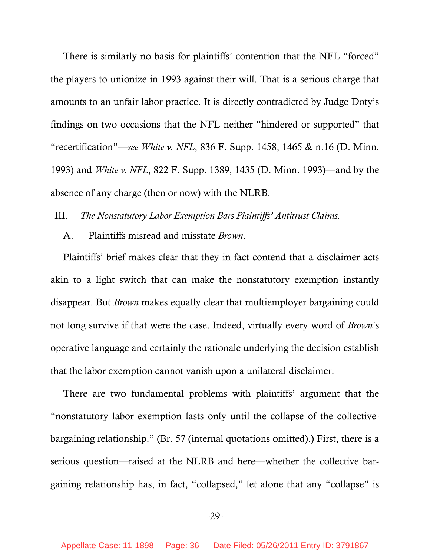<span id="page-35-0"></span>There is similarly no basis for plaintiffs' contention that the NFL "forced" the players to unionize in 1993 against their will. That is a serious charge that amounts to an unfair labor practice. It is directly contradicted by Judge Doty's findings on two occasions that the NFL neither "hindered or supported" that "recertification"—*see White v. NFL*, 836 F. Supp. 1458, 1465 & n.16 (D. Minn. 1993) and *White v. NFL*, 822 F. Supp. 1389, 1435 (D. Minn. 1993)—and by the absence of any charge (then or now) with the NLRB.

III. *The Nonstatutory Labor Exemption Bars Plaintiffs' Antitrust Claims.* 

# A. Plaintiffs misread and misstate *Brown*.

Plaintiffs' brief makes clear that they in fact contend that a disclaimer acts akin to a light switch that can make the nonstatutory exemption instantly disappear. But *Brown* makes equally clear that multiemployer bargaining could not long survive if that were the case. Indeed, virtually every word of *Brown*'s operative language and certainly the rationale underlying the decision establish that the labor exemption cannot vanish upon a unilateral disclaimer.

There are two fundamental problems with plaintiffs' argument that the "nonstatutory labor exemption lasts only until the collapse of the collectivebargaining relationship." (Br. 57 (internal quotations omitted).) First, there is a serious question—raised at the NLRB and here—whether the collective bargaining relationship has, in fact, "collapsed," let alone that any "collapse" is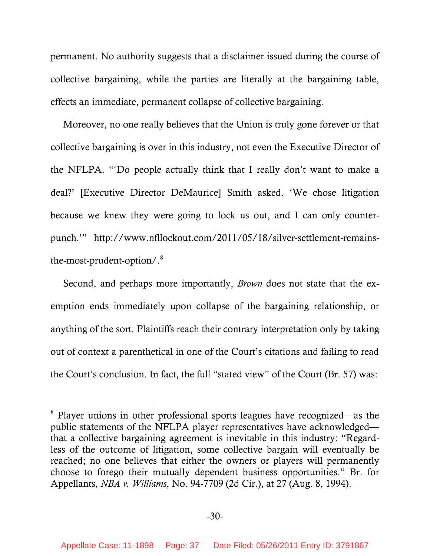permanent. No authority suggests that a disclaimer issued during the course of collective bargaining, while the parties are literally at the bargaining table, effects an immediate, permanent collapse of collective bargaining.

Moreover, no one really believes that the Union is truly gone forever or that collective bargaining is over in this industry, not even the Executive Director of the NFLPA. "'Do people actually think that I really don't want to make a deal?' [Executive Director DeMaurice] Smith asked. 'We chose litigation because we knew they were going to lock us out, and I can only counterpunch.'" http://www.nfllockout.com/2011/05/18/silver-settlement-remainsthe-most-prudent-option/.[8](#page-36-0)

Second, and perhaps more importantly, *Brown* does not state that the exemption ends immediately upon collapse of the bargaining relationship, or anything of the sort. Plaintiffs reach their contrary interpretation only by taking out of context a parenthetical in one of the Court's citations and failing to read the Court's conclusion. In fact, the full "stated view" of the Court (Br. 57) was:

-

<span id="page-36-0"></span><sup>&</sup>lt;sup>8</sup> Player unions in other professional sports leagues have recognized—as the public statements of the NFLPA player representatives have acknowledged that a collective bargaining agreement is inevitable in this industry: "Regardless of the outcome of litigation, some collective bargain will eventually be reached; no one believes that either the owners or players will permanently choose to forego their mutually dependent business opportunities." Br. for Appellants, *NBA v. Williams*, No. 94-7709 (2d Cir.), at 27 (Aug. 8, 1994).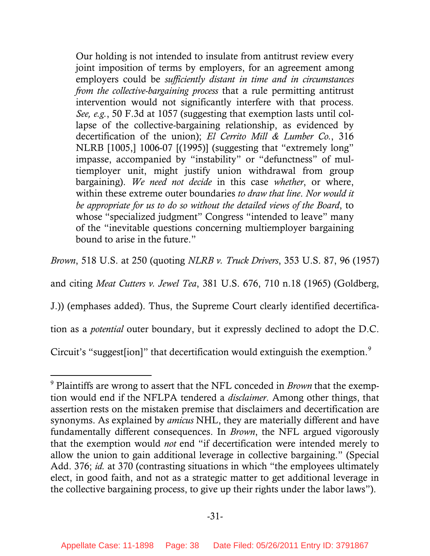Our holding is not intended to insulate from antitrust review every joint imposition of terms by employers, for an agreement among employers could be *sufficiently distant in time and in circumstances from the collective-bargaining process* that a rule permitting antitrust intervention would not significantly interfere with that process. *See, e.g.*, 50 F.3d at 1057 (suggesting that exemption lasts until collapse of the collective-bargaining relationship, as evidenced by decertification of the union); *El Cerrito Mill & Lumber Co.*, 316 NLRB [1005,] 1006-07 [(1995)] (suggesting that "extremely long" impasse, accompanied by "instability" or "defunctness" of multiemployer unit, might justify union withdrawal from group bargaining). *We need not decide* in this case *whether*, or where, within these extreme outer boundaries *to draw that line*. *Nor would it be appropriate for us to do so without the detailed views of the Board*, to whose "specialized judgment" Congress "intended to leave" many of the "inevitable questions concerning multiemployer bargaining bound to arise in the future."

*Brown*, 518 U.S. at 250 (quoting *NLRB v. Truck Drivers*, 353 U.S. 87, 96 (1957)

and citing *Meat Cutters v. Jewel Tea*, 381 U.S. 676, 710 n.18 (1965) (Goldberg,

J.)) (emphases added). Thus, the Supreme Court clearly identified decertifica-

tion as a *potential* outer boundary, but it expressly declined to adopt the D.C.

Circuit's "suggest[ion]" that decertification would extinguish the exemption.<sup>[9](#page-37-0)</sup>

 $\overline{a}$ 

<span id="page-37-0"></span><sup>9</sup> Plaintiffs are wrong to assert that the NFL conceded in *Brown* that the exemption would end if the NFLPA tendered a *disclaimer*. Among other things, that assertion rests on the mistaken premise that disclaimers and decertification are synonyms. As explained by *amicus* NHL, they are materially different and have fundamentally different consequences. In *Brown*, the NFL argued vigorously that the exemption would *not* end "if decertification were intended merely to allow the union to gain additional leverage in collective bargaining." (Special Add. 376; *id.* at 370 (contrasting situations in which "the employees ultimately elect, in good faith, and not as a strategic matter to get additional leverage in the collective bargaining process, to give up their rights under the labor laws").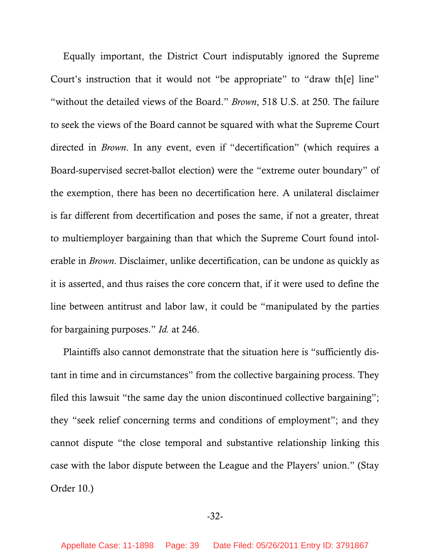Equally important, the District Court indisputably ignored the Supreme Court's instruction that it would not "be appropriate" to "draw the lline" "without the detailed views of the Board." *Brown*, 518 U.S. at 250. The failure to seek the views of the Board cannot be squared with what the Supreme Court directed in *Brown*. In any event, even if "decertification" (which requires a Board-supervised secret-ballot election) were the "extreme outer boundary" of the exemption, there has been no decertification here. A unilateral disclaimer is far different from decertification and poses the same, if not a greater, threat to multiemployer bargaining than that which the Supreme Court found intolerable in *Brown*. Disclaimer, unlike decertification, can be undone as quickly as it is asserted, and thus raises the core concern that, if it were used to define the line between antitrust and labor law, it could be "manipulated by the parties for bargaining purposes." *Id.* at 246.

Plaintiffs also cannot demonstrate that the situation here is "sufficiently distant in time and in circumstances" from the collective bargaining process. They filed this lawsuit "the same day the union discontinued collective bargaining"; they "seek relief concerning terms and conditions of employment"; and they cannot dispute "the close temporal and substantive relationship linking this case with the labor dispute between the League and the Players' union." (Stay Order 10.)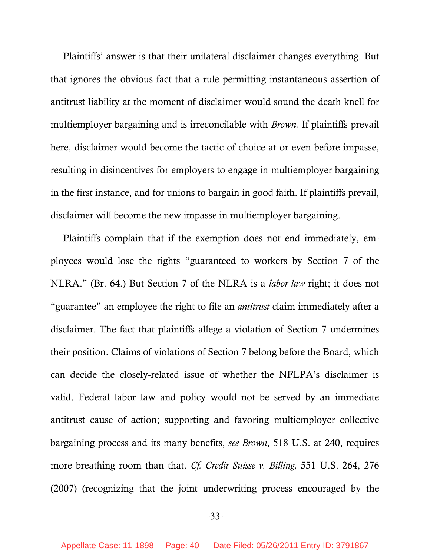Plaintiffs' answer is that their unilateral disclaimer changes everything. But that ignores the obvious fact that a rule permitting instantaneous assertion of antitrust liability at the moment of disclaimer would sound the death knell for multiemployer bargaining and is irreconcilable with *Brown.* If plaintiffs prevail here, disclaimer would become the tactic of choice at or even before impasse, resulting in disincentives for employers to engage in multiemployer bargaining in the first instance, and for unions to bargain in good faith. If plaintiffs prevail, disclaimer will become the new impasse in multiemployer bargaining.

Plaintiffs complain that if the exemption does not end immediately, employees would lose the rights "guaranteed to workers by Section 7 of the NLRA." (Br. 64.) But Section 7 of the NLRA is a *labor law* right; it does not "guarantee" an employee the right to file an *antitrust* claim immediately after a disclaimer. The fact that plaintiffs allege a violation of Section 7 undermines their position. Claims of violations of Section 7 belong before the Board, which can decide the closely-related issue of whether the NFLPA's disclaimer is valid. Federal labor law and policy would not be served by an immediate antitrust cause of action; supporting and favoring multiemployer collective bargaining process and its many benefits, *see Brown*, 518 U.S. at 240, requires more breathing room than that. *Cf. Credit Suisse v. Billing,* 551 U.S. 264, 276 (2007) (recognizing that the joint underwriting process encouraged by the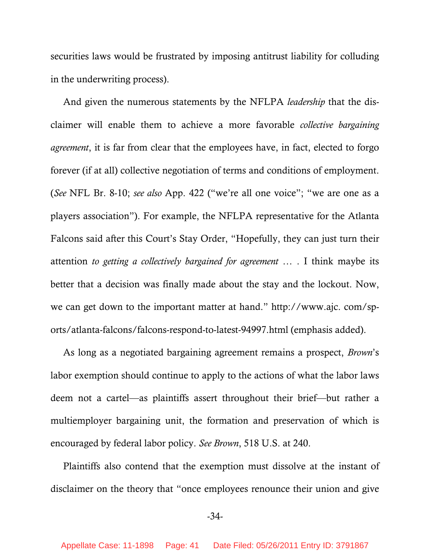securities laws would be frustrated by imposing antitrust liability for colluding in the underwriting process).

And given the numerous statements by the NFLPA *leadership* that the disclaimer will enable them to achieve a more favorable *collective bargaining agreement*, it is far from clear that the employees have, in fact, elected to forgo forever (if at all) collective negotiation of terms and conditions of employment. (*See* NFL Br. 8-10; *see also* App. 422 ("we're all one voice"; "we are one as a players association"). For example, the NFLPA representative for the Atlanta Falcons said after this Court's Stay Order, "Hopefully, they can just turn their attention *to getting a collectively bargained for agreement* … . I think maybe its better that a decision was finally made about the stay and the lockout. Now, we can get down to the important matter at hand." http://www.ajc. com/sports/atlanta-falcons/falcons-respond-to-latest-94997.html (emphasis added).

As long as a negotiated bargaining agreement remains a prospect, *Brown*'s labor exemption should continue to apply to the actions of what the labor laws deem not a cartel—as plaintiffs assert throughout their brief—but rather a multiemployer bargaining unit, the formation and preservation of which is encouraged by federal labor policy. *See Brown*, 518 U.S. at 240.

Plaintiffs also contend that the exemption must dissolve at the instant of disclaimer on the theory that "once employees renounce their union and give

### -34-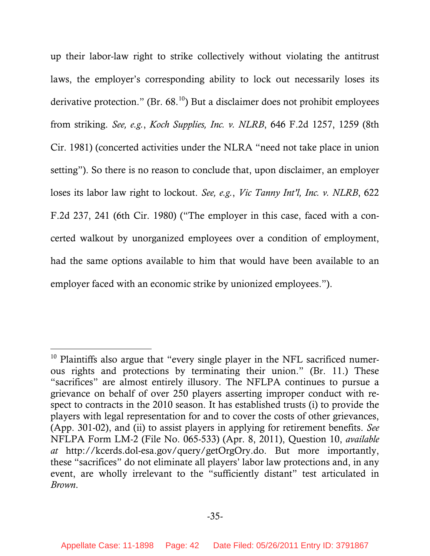up their labor-law right to strike collectively without violating the antitrust laws, the employer's corresponding ability to lock out necessarily loses its derivative protection." (Br.  $68^{10}$  $68^{10}$  $68^{10}$ ) But a disclaimer does not prohibit employees from striking. *See, e.g.*, *Koch Supplies, Inc. v. NLRB*, 646 F.2d 1257, 1259 (8th Cir. 1981) (concerted activities under the NLRA "need not take place in union setting"). So there is no reason to conclude that, upon disclaimer, an employer loses its labor law right to lockout. *See, e.g.*, *Vic Tanny Int'l, Inc. v. NLRB*, 622 F.2d 237, 241 (6th Cir. 1980) ("The employer in this case, faced with a concerted walkout by unorganized employees over a condition of employment, had the same options available to him that would have been available to an employer faced with an economic strike by unionized employees.").

-

<span id="page-41-0"></span> $10$  Plaintiffs also argue that "every single player in the NFL sacrificed numerous rights and protections by terminating their union." (Br. 11.) These "sacrifices" are almost entirely illusory. The NFLPA continues to pursue a grievance on behalf of over 250 players asserting improper conduct with respect to contracts in the 2010 season. It has established trusts (i) to provide the players with legal representation for and to cover the costs of other grievances, (App. 301-02), and (ii) to assist players in applying for retirement benefits. *See*  NFLPA Form LM-2 (File No. 065-533) (Apr. 8, 2011), Question 10, *available at* http://kcerds.dol-esa.gov/query/getOrgOry.do. But more importantly, these "sacrifices" do not eliminate all players' labor law protections and, in any event, are wholly irrelevant to the "sufficiently distant" test articulated in *Brown*.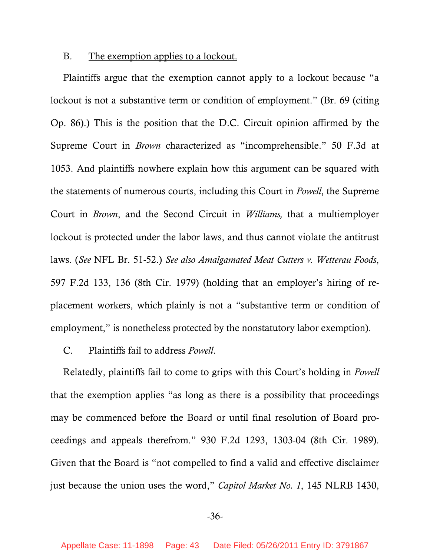#### <span id="page-42-0"></span>B. The exemption applies to a lockout.

Plaintiffs argue that the exemption cannot apply to a lockout because "a lockout is not a substantive term or condition of employment." (Br. 69 (citing Op. 86).) This is the position that the D.C. Circuit opinion affirmed by the Supreme Court in *Brown* characterized as "incomprehensible." 50 F.3d at 1053. And plaintiffs nowhere explain how this argument can be squared with the statements of numerous courts, including this Court in *Powell*, the Supreme Court in *Brown*, and the Second Circuit in *Williams,* that a multiemployer lockout is protected under the labor laws, and thus cannot violate the antitrust laws. (*See* NFL Br. 51-52.) *See also Amalgamated Meat Cutters v. Wetterau Foods*, 597 F.2d 133, 136 (8th Cir. 1979) (holding that an employer's hiring of replacement workers, which plainly is not a "substantive term or condition of employment," is nonetheless protected by the nonstatutory labor exemption).

#### C. Plaintiffs fail to address *Powell*.

Relatedly, plaintiffs fail to come to grips with this Court's holding in *Powell* that the exemption applies "as long as there is a possibility that proceedings may be commenced before the Board or until final resolution of Board proceedings and appeals therefrom." 930 F.2d 1293, 1303-04 (8th Cir. 1989). Given that the Board is "not compelled to find a valid and effective disclaimer just because the union uses the word," *Capitol Market No. 1*, 145 NLRB 1430,

## -36-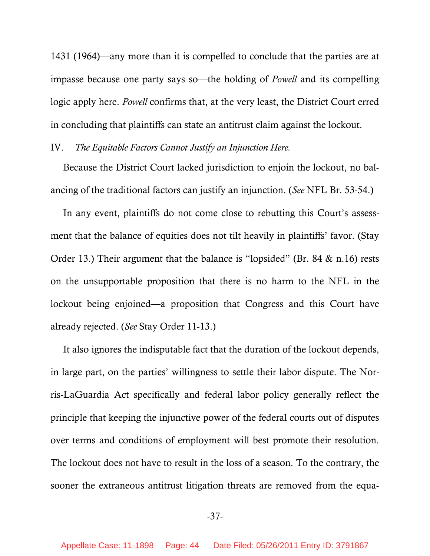<span id="page-43-0"></span>1431 (1964)—any more than it is compelled to conclude that the parties are at impasse because one party says so—the holding of *Powell* and its compelling logic apply here. *Powell* confirms that, at the very least, the District Court erred in concluding that plaintiffs can state an antitrust claim against the lockout.

## IV. *The Equitable Factors Cannot Justify an Injunction Here.*

Because the District Court lacked jurisdiction to enjoin the lockout, no balancing of the traditional factors can justify an injunction. (*See* NFL Br. 53-54.)

In any event, plaintiffs do not come close to rebutting this Court's assessment that the balance of equities does not tilt heavily in plaintiffs' favor. (Stay Order 13.) Their argument that the balance is "lopsided" (Br. 84 & n.16) rests on the unsupportable proposition that there is no harm to the NFL in the lockout being enjoined—a proposition that Congress and this Court have already rejected. (*See* Stay Order 11-13.)

It also ignores the indisputable fact that the duration of the lockout depends, in large part, on the parties' willingness to settle their labor dispute. The Norris-LaGuardia Act specifically and federal labor policy generally reflect the principle that keeping the injunctive power of the federal courts out of disputes over terms and conditions of employment will best promote their resolution. The lockout does not have to result in the loss of a season. To the contrary, the sooner the extraneous antitrust litigation threats are removed from the equa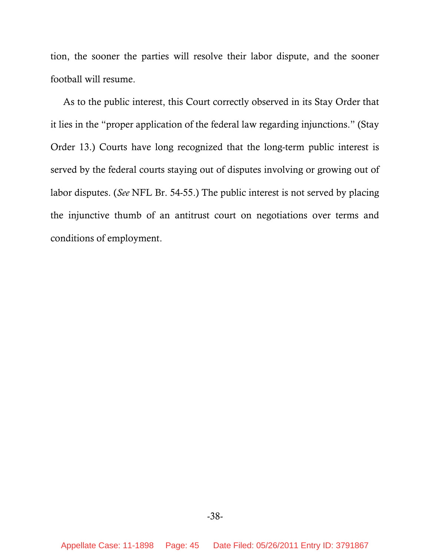tion, the sooner the parties will resolve their labor dispute, and the sooner football will resume.

As to the public interest, this Court correctly observed in its Stay Order that it lies in the "proper application of the federal law regarding injunctions." (Stay Order 13.) Courts have long recognized that the long-term public interest is served by the federal courts staying out of disputes involving or growing out of labor disputes. (*See* NFL Br. 54-55.) The public interest is not served by placing the injunctive thumb of an antitrust court on negotiations over terms and conditions of employment.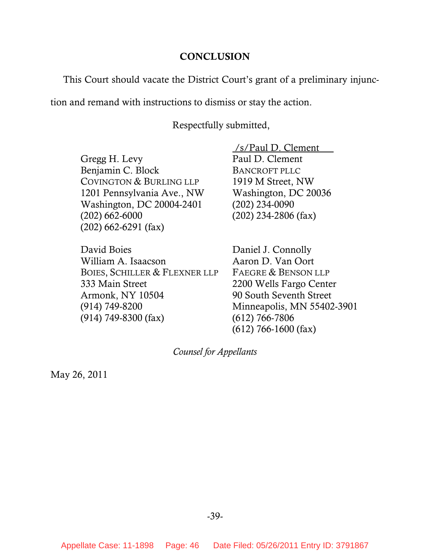#### **CONCLUSION**

<span id="page-45-0"></span>This Court should vacate the District Court's grant of a preliminary injunc-

tion and remand with instructions to dismiss or stay the action.

Respectfully submitted,

Gregg H. Levy Benjamin C. Block COVINGTON & BURLING LLP 1201 Pennsylvania Ave., NW Washington, DC 20004-2401 (202) 662-6000 (202) 662-6291 (fax)

David Boies William A. Isaacson BOIES, SCHILLER & FLEXNER LLP 333 Main Street Armonk, NY 10504 (914) 749-8200 (914) 749-8300 (fax)

 /s/Paul D. Clement Paul D. Clement BANCROFT PLLC 1919 M Street, NW Washington, DC 20036 (202) 234-0090 (202) 234-2806 (fax)

Daniel J. Connolly Aaron D. Van Oort FAEGRE & BENSON LLP 2200 Wells Fargo Center 90 South Seventh Street Minneapolis, MN 55402-3901 (612) 766-7806 (612) 766-1600 (fax)

*Counsel for Appellants*

May 26, 2011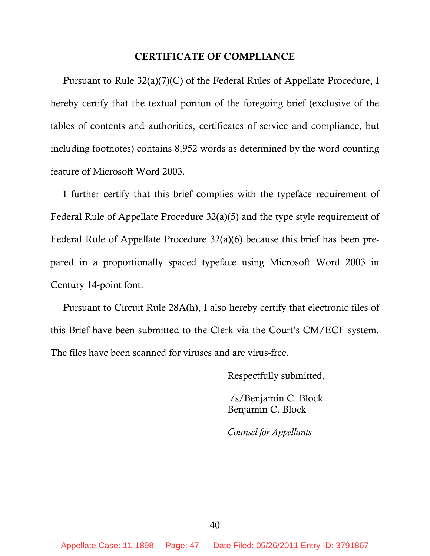#### **CERTIFICATE OF COMPLIANCE**

<span id="page-46-0"></span>Pursuant to Rule 32(a)(7)(C) of the Federal Rules of Appellate Procedure, I hereby certify that the textual portion of the foregoing brief (exclusive of the tables of contents and authorities, certificates of service and compliance, but including footnotes) contains 8,952 words as determined by the word counting feature of Microsoft Word 2003.

I further certify that this brief complies with the typeface requirement of Federal Rule of Appellate Procedure 32(a)(5) and the type style requirement of Federal Rule of Appellate Procedure 32(a)(6) because this brief has been prepared in a proportionally spaced typeface using Microsoft Word 2003 in Century 14-point font.

Pursuant to Circuit Rule 28A(h), I also hereby certify that electronic files of this Brief have been submitted to the Clerk via the Court's CM/ECF system. The files have been scanned for viruses and are virus-free.

Respectfully submitted,

 /s/Benjamin C. Block Benjamin C. Block

*Counsel for Appellants* 

 $-40-$